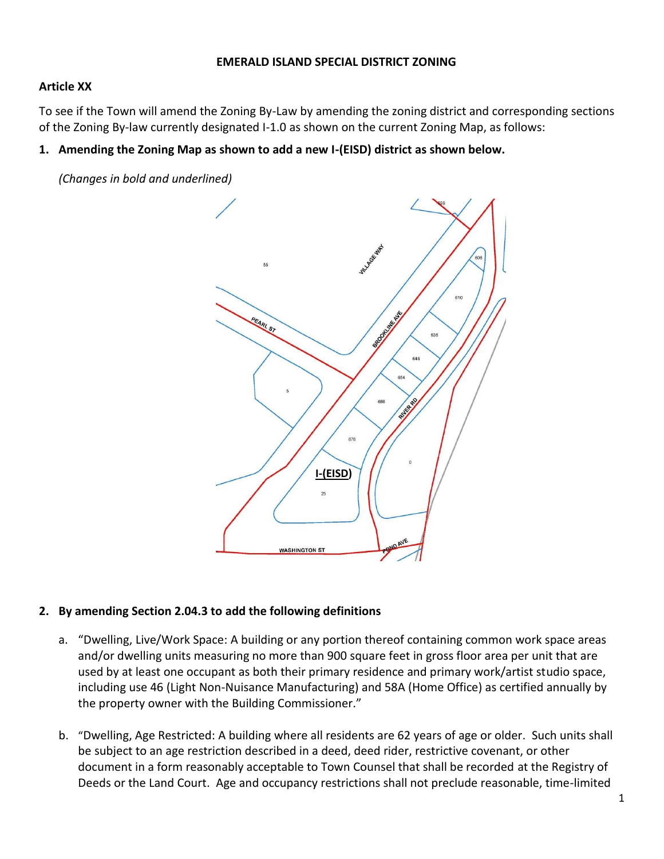#### **EMERALD ISLAND SPECIAL DISTRICT ZONING**

#### **Article XX**

To see if the Town will amend the Zoning By-Law by amending the zoning district and corresponding sections of the Zoning By-law currently designated I-1.0 as shown on the current Zoning Map, as follows:

#### **1. Amending the Zoning Map as shown to add a new I-(EISD) district as shown below.**

*(Changes in bold and underlined)*



#### **2. By amending Section 2.04.3 to add the following definitions**

- a. "Dwelling, Live/Work Space: A building or any portion thereof containing common work space areas and/or dwelling units measuring no more than 900 square feet in gross floor area per unit that are used by at least one occupant as both their primary residence and primary work/artist studio space, including use 46 (Light Non-Nuisance Manufacturing) and 58A (Home Office) as certified annually by the property owner with the Building Commissioner."
- b. "Dwelling, Age Restricted: A building where all residents are 62 years of age or older. Such units shall be subject to an age restriction described in a deed, deed rider, restrictive covenant, or other document in a form reasonably acceptable to Town Counsel that shall be recorded at the Registry of Deeds or the Land Court. Age and occupancy restrictions shall not preclude reasonable, time-limited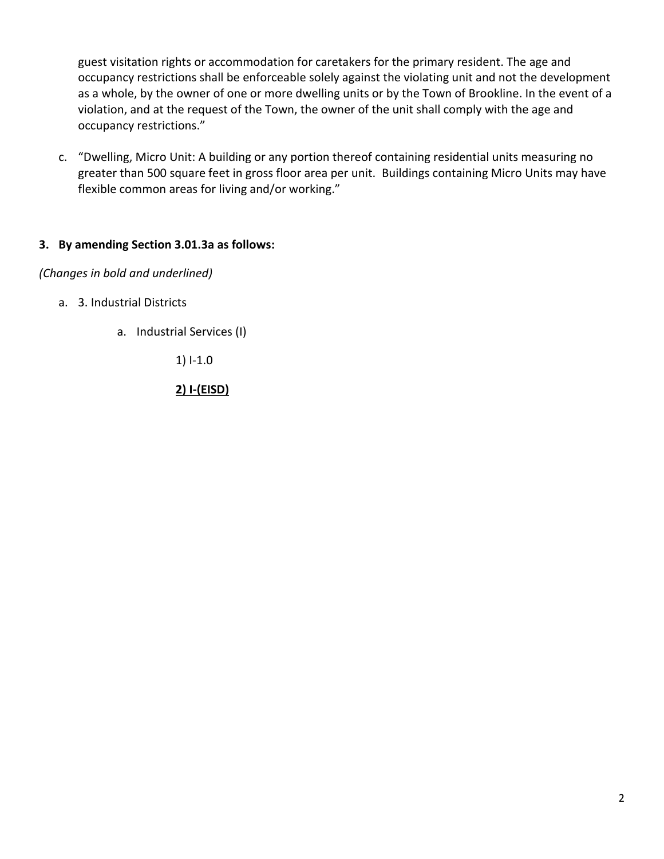guest visitation rights or accommodation for caretakers for the primary resident. The age and occupancy restrictions shall be enforceable solely against the violating unit and not the development as a whole, by the owner of one or more dwelling units or by the Town of Brookline. In the event of a violation, and at the request of the Town, the owner of the unit shall comply with the age and occupancy restrictions."

c. "Dwelling, Micro Unit: A building or any portion thereof containing residential units measuring no greater than 500 square feet in gross floor area per unit. Buildings containing Micro Units may have flexible common areas for living and/or working."

# **3. By amending Section 3.01.3a as follows:**

#### *(Changes in bold and underlined)*

- a. 3. Industrial Districts
	- a. Industrial Services (I)

1) I-1.0

**2) I-(EISD)**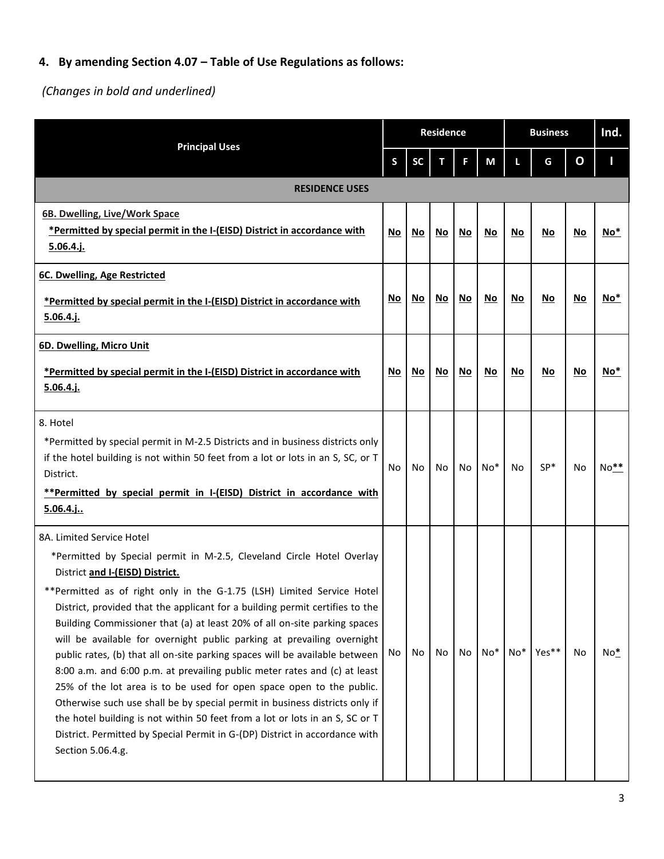# **4. By amending Section 4.07 – Table of Use Regulations as follows:**

*(Changes in bold and underlined)*

|                                                                                                                                                                                                                                                                                                                                                                                                                                                                                                                                                                                                                                                                                                                                                                                                                                                                                                                                                               |     |      | <b>Residence</b> |      |       | <b>Business</b> | Ind.  |    |                 |  |
|---------------------------------------------------------------------------------------------------------------------------------------------------------------------------------------------------------------------------------------------------------------------------------------------------------------------------------------------------------------------------------------------------------------------------------------------------------------------------------------------------------------------------------------------------------------------------------------------------------------------------------------------------------------------------------------------------------------------------------------------------------------------------------------------------------------------------------------------------------------------------------------------------------------------------------------------------------------|-----|------|------------------|------|-------|-----------------|-------|----|-----------------|--|
| <b>Principal Uses</b>                                                                                                                                                                                                                                                                                                                                                                                                                                                                                                                                                                                                                                                                                                                                                                                                                                                                                                                                         | S   | SC   | т                | F.   | M     |                 | G     | O  |                 |  |
| <b>RESIDENCE USES</b>                                                                                                                                                                                                                                                                                                                                                                                                                                                                                                                                                                                                                                                                                                                                                                                                                                                                                                                                         |     |      |                  |      |       |                 |       |    |                 |  |
| 6B. Dwelling, Live/Work Space<br>*Permitted by special permit in the I-(EISD) District in accordance with<br>$5.06.4.$ j.                                                                                                                                                                                                                                                                                                                                                                                                                                                                                                                                                                                                                                                                                                                                                                                                                                     | No  | No.  | No               | No   | No    | No              | No    | No | No <sup>*</sup> |  |
| 6C. Dwelling, Age Restricted<br>*Permitted by special permit in the I-(EISD) District in accordance with<br>$5.06.4.$ j.                                                                                                                                                                                                                                                                                                                                                                                                                                                                                                                                                                                                                                                                                                                                                                                                                                      | No  | No   | No               | No   | No    | No              | No    | No | No <sup>*</sup> |  |
| 6D. Dwelling, Micro Unit<br>*Permitted by special permit in the I-(EISD) District in accordance with<br>$5.06.4.$ j.                                                                                                                                                                                                                                                                                                                                                                                                                                                                                                                                                                                                                                                                                                                                                                                                                                          | No  | $No$ | No               | $No$ | No    | $No$            | No    | No | $No*$           |  |
| 8. Hotel<br>*Permitted by special permit in M-2.5 Districts and in business districts only<br>if the hotel building is not within 50 feet from a lot or lots in an S, SC, or T<br>District.<br>**Permitted by special permit in I-(EISD) District in accordance with<br>$5.06.4$ .j.                                                                                                                                                                                                                                                                                                                                                                                                                                                                                                                                                                                                                                                                          | No. | No   | No               | No   | $No*$ | N <sub>o</sub>  | SP*   | No | $No**$          |  |
| 8A. Limited Service Hotel<br>*Permitted by Special permit in M-2.5, Cleveland Circle Hotel Overlay<br>District and I-(EISD) District.<br>**Permitted as of right only in the G-1.75 (LSH) Limited Service Hotel<br>District, provided that the applicant for a building permit certifies to the<br>Building Commissioner that (a) at least 20% of all on-site parking spaces<br>will be available for overnight public parking at prevailing overnight<br>public rates, (b) that all on-site parking spaces will be available between<br>8:00 a.m. and 6:00 p.m. at prevailing public meter rates and (c) at least<br>25% of the lot area is to be used for open space open to the public.<br>Otherwise such use shall be by special permit in business districts only if<br>the hotel building is not within 50 feet from a lot or lots in an S, SC or T<br>District. Permitted by Special Permit in G-(DP) District in accordance with<br>Section 5.06.4.g. | No  | No   | No               | No   | $No*$ | $No*$           | Yes** | No | No*             |  |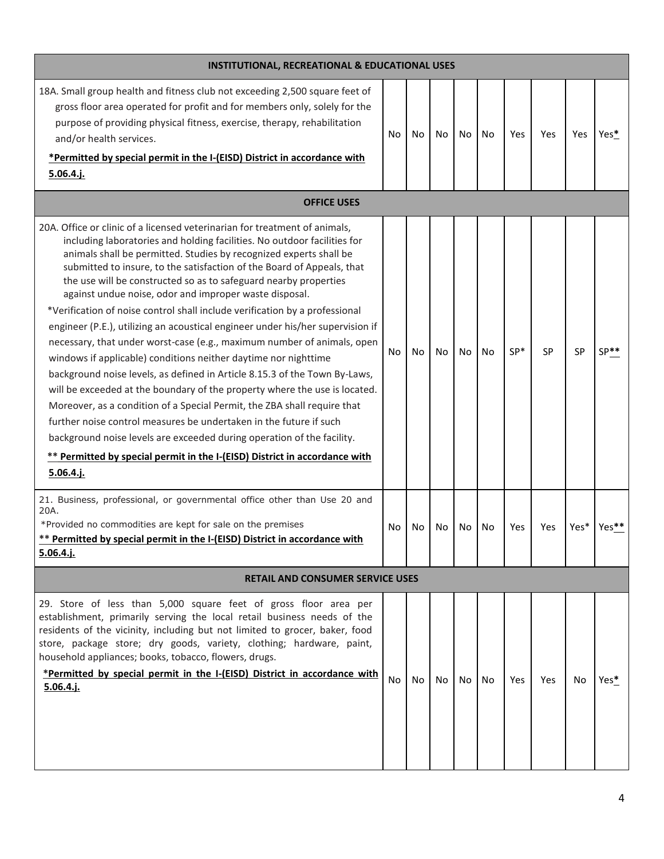| <b>INSTITUTIONAL, RECREATIONAL &amp; EDUCATIONAL USES</b>                                                                                                                                                                                                                                                                                                                                                                                                                                                                                                                                                                                                                                                                                                                                                                                                                                                                                                                                                                                                                                                                                                                                                                              |     |    |    |    |    |       |           |      |        |
|----------------------------------------------------------------------------------------------------------------------------------------------------------------------------------------------------------------------------------------------------------------------------------------------------------------------------------------------------------------------------------------------------------------------------------------------------------------------------------------------------------------------------------------------------------------------------------------------------------------------------------------------------------------------------------------------------------------------------------------------------------------------------------------------------------------------------------------------------------------------------------------------------------------------------------------------------------------------------------------------------------------------------------------------------------------------------------------------------------------------------------------------------------------------------------------------------------------------------------------|-----|----|----|----|----|-------|-----------|------|--------|
| 18A. Small group health and fitness club not exceeding 2,500 square feet of<br>gross floor area operated for profit and for members only, solely for the<br>purpose of providing physical fitness, exercise, therapy, rehabilitation<br>and/or health services.<br>*Permitted by special permit in the I-(EISD) District in accordance with<br>5.06.4 j.                                                                                                                                                                                                                                                                                                                                                                                                                                                                                                                                                                                                                                                                                                                                                                                                                                                                               | No  | No | No | No | No | Yes   | Yes       | Yes  | Yes*   |
| <b>OFFICE USES</b>                                                                                                                                                                                                                                                                                                                                                                                                                                                                                                                                                                                                                                                                                                                                                                                                                                                                                                                                                                                                                                                                                                                                                                                                                     |     |    |    |    |    |       |           |      |        |
| 20A. Office or clinic of a licensed veterinarian for treatment of animals,<br>including laboratories and holding facilities. No outdoor facilities for<br>animals shall be permitted. Studies by recognized experts shall be<br>submitted to insure, to the satisfaction of the Board of Appeals, that<br>the use will be constructed so as to safeguard nearby properties<br>against undue noise, odor and improper waste disposal.<br>*Verification of noise control shall include verification by a professional<br>engineer (P.E.), utilizing an acoustical engineer under his/her supervision if<br>necessary, that under worst-case (e.g., maximum number of animals, open<br>windows if applicable) conditions neither daytime nor nighttime<br>background noise levels, as defined in Article 8.15.3 of the Town By-Laws,<br>will be exceeded at the boundary of the property where the use is located.<br>Moreover, as a condition of a Special Permit, the ZBA shall require that<br>further noise control measures be undertaken in the future if such<br>background noise levels are exceeded during operation of the facility.<br>** Permitted by special permit in the I-(EISD) District in accordance with<br>5.06.4 i. | No. | No | No | No | No | $SP*$ | <b>SP</b> | SP   | $SP**$ |
| 21. Business, professional, or governmental office other than Use 20 and<br>20A.<br>*Provided no commodities are kept for sale on the premises<br>** Permitted by special permit in the I-(EISD) District in accordance with<br>$5.06.4.$ j.                                                                                                                                                                                                                                                                                                                                                                                                                                                                                                                                                                                                                                                                                                                                                                                                                                                                                                                                                                                           | No  | No | No | No | No | Yes   | Yes       | Yes* | Yes**  |
| <b>RETAIL AND CONSUMER SERVICE USES</b>                                                                                                                                                                                                                                                                                                                                                                                                                                                                                                                                                                                                                                                                                                                                                                                                                                                                                                                                                                                                                                                                                                                                                                                                |     |    |    |    |    |       |           |      |        |
| 29. Store of less than 5,000 square feet of gross floor area per<br>establishment, primarily serving the local retail business needs of the<br>residents of the vicinity, including but not limited to grocer, baker, food<br>store, package store; dry goods, variety, clothing; hardware, paint,<br>household appliances; books, tobacco, flowers, drugs.<br>*Permitted by special permit in the I-(EISD) District in accordance with<br>$5.06.4.$ j.                                                                                                                                                                                                                                                                                                                                                                                                                                                                                                                                                                                                                                                                                                                                                                                | No  | No | No | No | No | Yes   | Yes       | No   | Yes*   |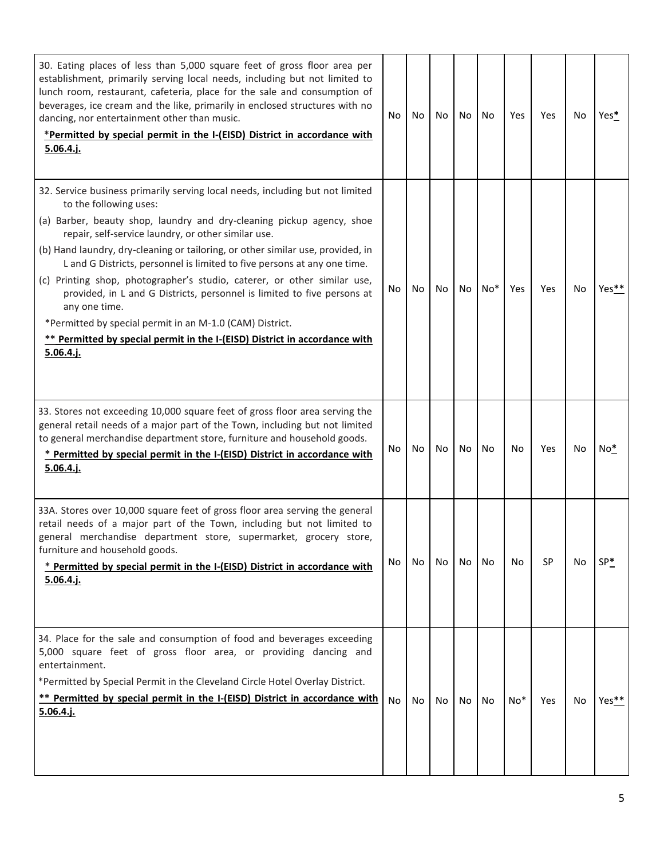| 30. Eating places of less than 5,000 square feet of gross floor area per<br>establishment, primarily serving local needs, including but not limited to<br>lunch room, restaurant, cafeteria, place for the sale and consumption of<br>beverages, ice cream and the like, primarily in enclosed structures with no<br>dancing, nor entertainment other than music.<br>*Permitted by special permit in the I-(EISD) District in accordance with<br>5.06.4 j.                                                                                                                                                                                                                                                                            | No | No | No | No | No    | Yes   | Yes | No | Yes*  |
|---------------------------------------------------------------------------------------------------------------------------------------------------------------------------------------------------------------------------------------------------------------------------------------------------------------------------------------------------------------------------------------------------------------------------------------------------------------------------------------------------------------------------------------------------------------------------------------------------------------------------------------------------------------------------------------------------------------------------------------|----|----|----|----|-------|-------|-----|----|-------|
| 32. Service business primarily serving local needs, including but not limited<br>to the following uses:<br>(a) Barber, beauty shop, laundry and dry-cleaning pickup agency, shoe<br>repair, self-service laundry, or other similar use.<br>(b) Hand laundry, dry-cleaning or tailoring, or other similar use, provided, in<br>L and G Districts, personnel is limited to five persons at any one time.<br>(c) Printing shop, photographer's studio, caterer, or other similar use,<br>provided, in L and G Districts, personnel is limited to five persons at<br>any one time.<br>*Permitted by special permit in an M-1.0 (CAM) District.<br>** Permitted by special permit in the I-(EISD) District in accordance with<br>5.06.4.i. | No | No | No | No | $No*$ | Yes   | Yes | No | Yes** |
| 33. Stores not exceeding 10,000 square feet of gross floor area serving the<br>general retail needs of a major part of the Town, including but not limited<br>to general merchandise department store, furniture and household goods.<br>* Permitted by special permit in the I-(EISD) District in accordance with<br>5.06.4.j.                                                                                                                                                                                                                                                                                                                                                                                                       | No | No | No | No | No    | No    | Yes | No | $No*$ |
| 33A. Stores over 10,000 square feet of gross floor area serving the general<br>retail needs of a major part of the Town, including but not limited to<br>general merchandise department store, supermarket, grocery store,<br>furniture and household goods.<br>* Permitted by special permit in the I-(EISD) District in accordance with<br>5.06.4.j.                                                                                                                                                                                                                                                                                                                                                                                | No | No | No | No | No    | No    | SP  | No | $SP*$ |
| 34. Place for the sale and consumption of food and beverages exceeding<br>5,000 square feet of gross floor area, or providing dancing and<br>entertainment.<br>*Permitted by Special Permit in the Cleveland Circle Hotel Overlay District.<br>** Permitted by special permit in the I-(EISD) District in accordance with<br><u>5.06.4.j.</u>                                                                                                                                                                                                                                                                                                                                                                                         | No | No | No | No | No    | $No*$ | Yes | No | Yes** |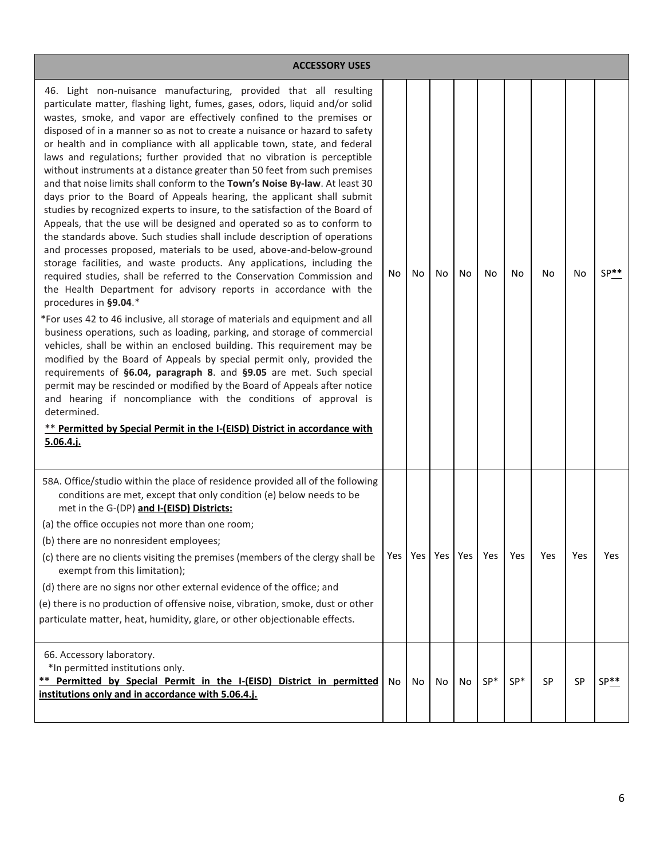| <b>ACCESSORY USES</b>                                                                                                                                                                                                                                                                                                                                                                                                                                                                                                                                                                                                                                                                                                                                                                                                                                                                                                                                                                                                                                                                                                                                                                                                                                                                                                                                                                                                                                                                                                                                                                                                                                                                                                                                                                                                                                                                                                      |     |    |                 |    |            |       |     |     |            |
|----------------------------------------------------------------------------------------------------------------------------------------------------------------------------------------------------------------------------------------------------------------------------------------------------------------------------------------------------------------------------------------------------------------------------------------------------------------------------------------------------------------------------------------------------------------------------------------------------------------------------------------------------------------------------------------------------------------------------------------------------------------------------------------------------------------------------------------------------------------------------------------------------------------------------------------------------------------------------------------------------------------------------------------------------------------------------------------------------------------------------------------------------------------------------------------------------------------------------------------------------------------------------------------------------------------------------------------------------------------------------------------------------------------------------------------------------------------------------------------------------------------------------------------------------------------------------------------------------------------------------------------------------------------------------------------------------------------------------------------------------------------------------------------------------------------------------------------------------------------------------------------------------------------------------|-----|----|-----------------|----|------------|-------|-----|-----|------------|
| 46. Light non-nuisance manufacturing, provided that all resulting<br>particulate matter, flashing light, fumes, gases, odors, liquid and/or solid<br>wastes, smoke, and vapor are effectively confined to the premises or<br>disposed of in a manner so as not to create a nuisance or hazard to safety<br>or health and in compliance with all applicable town, state, and federal<br>laws and regulations; further provided that no vibration is perceptible<br>without instruments at a distance greater than 50 feet from such premises<br>and that noise limits shall conform to the Town's Noise By-law. At least 30<br>days prior to the Board of Appeals hearing, the applicant shall submit<br>studies by recognized experts to insure, to the satisfaction of the Board of<br>Appeals, that the use will be designed and operated so as to conform to<br>the standards above. Such studies shall include description of operations<br>and processes proposed, materials to be used, above-and-below-ground<br>storage facilities, and waste products. Any applications, including the<br>required studies, shall be referred to the Conservation Commission and<br>the Health Department for advisory reports in accordance with the<br>procedures in §9.04.*<br>*For uses 42 to 46 inclusive, all storage of materials and equipment and all<br>business operations, such as loading, parking, and storage of commercial<br>vehicles, shall be within an enclosed building. This requirement may be<br>modified by the Board of Appeals by special permit only, provided the<br>requirements of §6.04, paragraph 8. and §9.05 are met. Such special<br>permit may be rescinded or modified by the Board of Appeals after notice<br>and hearing if noncompliance with the conditions of approval is<br>determined.<br>** Permitted by Special Permit in the I-(EISD) District in accordance with<br>$5.06.4.$ j. | No  | No | No              | No | No         | No    | No. | No  | $SP**$     |
| 58A. Office/studio within the place of residence provided all of the following<br>conditions are met, except that only condition (e) below needs to be<br>met in the G-(DP) and I-(EISD) Districts:<br>(a) the office occupies not more than one room;<br>(b) there are no nonresident employees;                                                                                                                                                                                                                                                                                                                                                                                                                                                                                                                                                                                                                                                                                                                                                                                                                                                                                                                                                                                                                                                                                                                                                                                                                                                                                                                                                                                                                                                                                                                                                                                                                          |     |    |                 |    |            |       |     |     |            |
| (c) there are no clients visiting the premises (members of the clergy shall be<br>exempt from this limitation);                                                                                                                                                                                                                                                                                                                                                                                                                                                                                                                                                                                                                                                                                                                                                                                                                                                                                                                                                                                                                                                                                                                                                                                                                                                                                                                                                                                                                                                                                                                                                                                                                                                                                                                                                                                                            | Yes |    | Yes   Yes   Yes |    | <b>Yes</b> | Yes   | Yes | Yes | <b>Yes</b> |
| (d) there are no signs nor other external evidence of the office; and                                                                                                                                                                                                                                                                                                                                                                                                                                                                                                                                                                                                                                                                                                                                                                                                                                                                                                                                                                                                                                                                                                                                                                                                                                                                                                                                                                                                                                                                                                                                                                                                                                                                                                                                                                                                                                                      |     |    |                 |    |            |       |     |     |            |
| (e) there is no production of offensive noise, vibration, smoke, dust or other<br>particulate matter, heat, humidity, glare, or other objectionable effects.                                                                                                                                                                                                                                                                                                                                                                                                                                                                                                                                                                                                                                                                                                                                                                                                                                                                                                                                                                                                                                                                                                                                                                                                                                                                                                                                                                                                                                                                                                                                                                                                                                                                                                                                                               |     |    |                 |    |            |       |     |     |            |
| 66. Accessory laboratory.<br>*In permitted institutions only.<br>** Permitted by Special Permit in the I-(EISD) District in permitted<br>institutions only and in accordance with 5.06.4.j.                                                                                                                                                                                                                                                                                                                                                                                                                                                                                                                                                                                                                                                                                                                                                                                                                                                                                                                                                                                                                                                                                                                                                                                                                                                                                                                                                                                                                                                                                                                                                                                                                                                                                                                                | No  | No | No              | No | $SP*$      | $SP*$ | SP  | SP  | $SP**$     |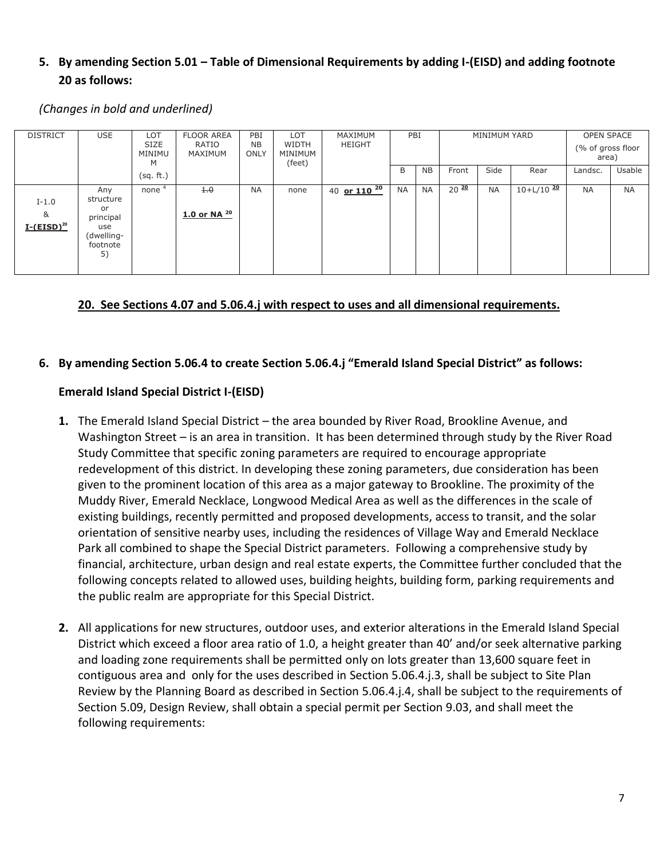# **5. By amending Section 5.01 – Table of Dimensional Requirements by adding I-(EISD) and adding footnote 20 as follows:**

*(Changes in bold and underlined)*

| <b>DISTRICT</b>                 | <b>USE</b>                                                                 | <b>LOT</b><br><b>SIZE</b><br>MINIMU<br>M | <b>FLOOR AREA</b><br>RATIO<br>MAXIMUM | PBI<br><b>NB</b><br>ONLY | LOT<br>WIDTH<br>MINIMUM<br>(feet) | MAXIMUM<br><b>HEIGHT</b> |           | PBI       | MINIMUM YARD      |           |                | <b>OPEN SPACE</b><br>(% of gross floor<br>area) |           |
|---------------------------------|----------------------------------------------------------------------------|------------------------------------------|---------------------------------------|--------------------------|-----------------------------------|--------------------------|-----------|-----------|-------------------|-----------|----------------|-------------------------------------------------|-----------|
|                                 |                                                                            | (sq. ft.)                                |                                       |                          |                                   |                          | B         | <b>NB</b> | Front             | Side      | Rear           | Landsc.                                         | Usable    |
| $I-1.0$<br>&<br>$I-(EISD)^{20}$ | Any<br>structure<br>or<br>principal<br>use<br>(dwelling-<br>footnote<br>5) | none <sup>4</sup>                        | 4.0<br>$1.0$ or NA $^{20}$            | <b>NA</b>                | none                              | 40 or $110^{20}$         | <b>NA</b> | <b>NA</b> | $20 \frac{20}{ }$ | <b>NA</b> | $10+L/10^{20}$ | <b>NA</b>                                       | <b>NA</b> |

#### **20. See Sections 4.07 and 5.06.4.j with respect to uses and all dimensional requirements.**

#### **6. By amending Section 5.06.4 to create Section 5.06.4.j "Emerald Island Special District" as follows:**

## **Emerald Island Special District I-(EISD)**

- **1.** The Emerald Island Special District the area bounded by River Road, Brookline Avenue, and Washington Street – is an area in transition. It has been determined through study by the River Road Study Committee that specific zoning parameters are required to encourage appropriate redevelopment of this district. In developing these zoning parameters, due consideration has been given to the prominent location of this area as a major gateway to Brookline. The proximity of the Muddy River, Emerald Necklace, Longwood Medical Area as well as the differences in the scale of existing buildings, recently permitted and proposed developments, access to transit, and the solar orientation of sensitive nearby uses, including the residences of Village Way and Emerald Necklace Park all combined to shape the Special District parameters. Following a comprehensive study by financial, architecture, urban design and real estate experts, the Committee further concluded that the following concepts related to allowed uses, building heights, building form, parking requirements and the public realm are appropriate for this Special District.
- **2.** All applications for new structures, outdoor uses, and exterior alterations in the Emerald Island Special District which exceed a floor area ratio of 1.0, a height greater than 40' and/or seek alternative parking and loading zone requirements shall be permitted only on lots greater than 13,600 square feet in contiguous area and only for the uses described in Section 5.06.4.j.3, shall be subject to Site Plan Review by the Planning Board as described in Section 5.06.4.j.4, shall be subject to the requirements of Section 5.09, Design Review, shall obtain a special permit per Section 9.03, and shall meet the following requirements: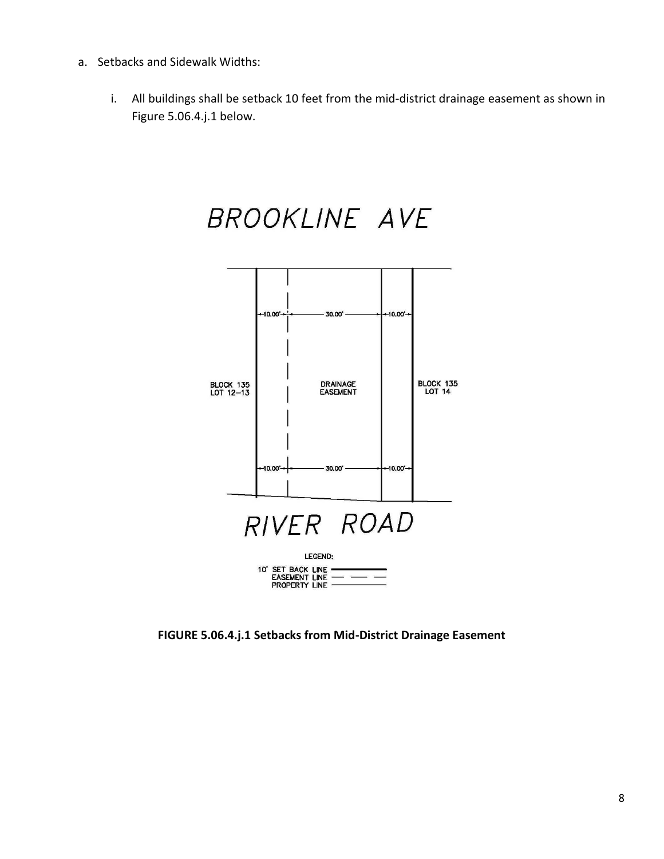- a. Setbacks and Sidewalk Widths:
	- i. All buildings shall be setback 10 feet from the mid-district drainage easement as shown in Figure 5.06.4.j.1 below.



**FIGURE 5.06.4.j.1 Setbacks from Mid-District Drainage Easement**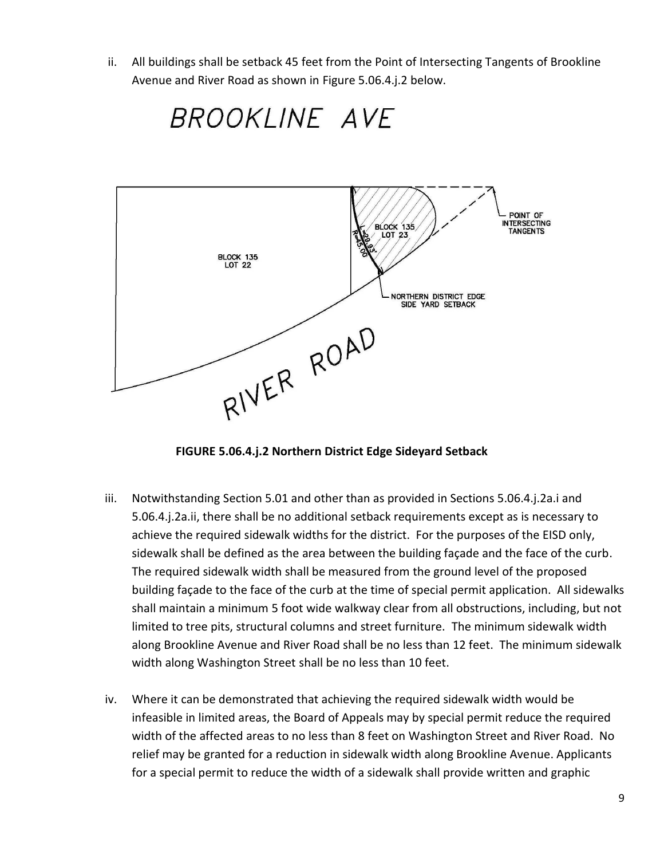ii. All buildings shall be setback 45 feet from the Point of Intersecting Tangents of Brookline Avenue and River Road as shown in Figure 5.06.4.j.2 below.



**FIGURE 5.06.4.j.2 Northern District Edge Sideyard Setback**

- iii. Notwithstanding Section 5.01 and other than as provided in Sections 5.06.4.j.2a.i and 5.06.4.j.2a.ii, there shall be no additional setback requirements except as is necessary to achieve the required sidewalk widths for the district. For the purposes of the EISD only, sidewalk shall be defined as the area between the building façade and the face of the curb. The required sidewalk width shall be measured from the ground level of the proposed building façade to the face of the curb at the time of special permit application. All sidewalks shall maintain a minimum 5 foot wide walkway clear from all obstructions, including, but not limited to tree pits, structural columns and street furniture. The minimum sidewalk width along Brookline Avenue and River Road shall be no less than 12 feet. The minimum sidewalk width along Washington Street shall be no less than 10 feet.
- iv. Where it can be demonstrated that achieving the required sidewalk width would be infeasible in limited areas, the Board of Appeals may by special permit reduce the required width of the affected areas to no less than 8 feet on Washington Street and River Road. No relief may be granted for a reduction in sidewalk width along Brookline Avenue. Applicants for a special permit to reduce the width of a sidewalk shall provide written and graphic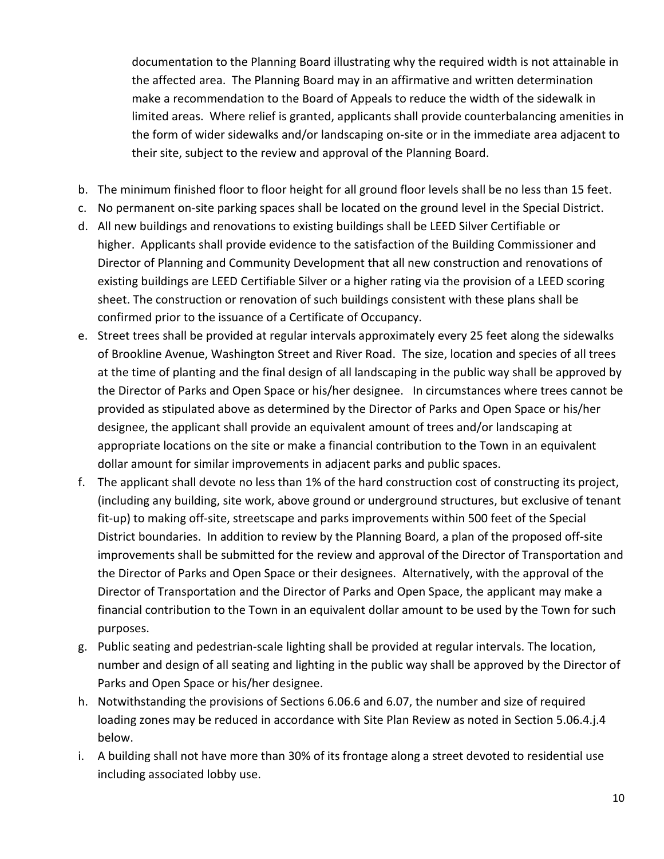documentation to the Planning Board illustrating why the required width is not attainable in the affected area. The Planning Board may in an affirmative and written determination make a recommendation to the Board of Appeals to reduce the width of the sidewalk in limited areas. Where relief is granted, applicants shall provide counterbalancing amenities in the form of wider sidewalks and/or landscaping on-site or in the immediate area adjacent to their site, subject to the review and approval of the Planning Board.

- b. The minimum finished floor to floor height for all ground floor levels shall be no less than 15 feet.
- c. No permanent on-site parking spaces shall be located on the ground level in the Special District.
- d. All new buildings and renovations to existing buildings shall be LEED Silver Certifiable or higher. Applicants shall provide evidence to the satisfaction of the Building Commissioner and Director of Planning and Community Development that all new construction and renovations of existing buildings are LEED Certifiable Silver or a higher rating via the provision of a LEED scoring sheet. The construction or renovation of such buildings consistent with these plans shall be confirmed prior to the issuance of a Certificate of Occupancy.
- e. Street trees shall be provided at regular intervals approximately every 25 feet along the sidewalks of Brookline Avenue, Washington Street and River Road. The size, location and species of all trees at the time of planting and the final design of all landscaping in the public way shall be approved by the Director of Parks and Open Space or his/her designee. In circumstances where trees cannot be provided as stipulated above as determined by the Director of Parks and Open Space or his/her designee, the applicant shall provide an equivalent amount of trees and/or landscaping at appropriate locations on the site or make a financial contribution to the Town in an equivalent dollar amount for similar improvements in adjacent parks and public spaces.
- f. The applicant shall devote no less than 1% of the hard construction cost of constructing its project, (including any building, site work, above ground or underground structures, but exclusive of tenant fit-up) to making off-site, streetscape and parks improvements within 500 feet of the Special District boundaries. In addition to review by the Planning Board, a plan of the proposed off-site improvements shall be submitted for the review and approval of the Director of Transportation and the Director of Parks and Open Space or their designees. Alternatively, with the approval of the Director of Transportation and the Director of Parks and Open Space, the applicant may make a financial contribution to the Town in an equivalent dollar amount to be used by the Town for such purposes.
- g. Public seating and pedestrian-scale lighting shall be provided at regular intervals. The location, number and design of all seating and lighting in the public way shall be approved by the Director of Parks and Open Space or his/her designee.
- h. Notwithstanding the provisions of Sections 6.06.6 and 6.07, the number and size of required loading zones may be reduced in accordance with Site Plan Review as noted in Section 5.06.4.j.4 below.
- i. A building shall not have more than 30% of its frontage along a street devoted to residential use including associated lobby use.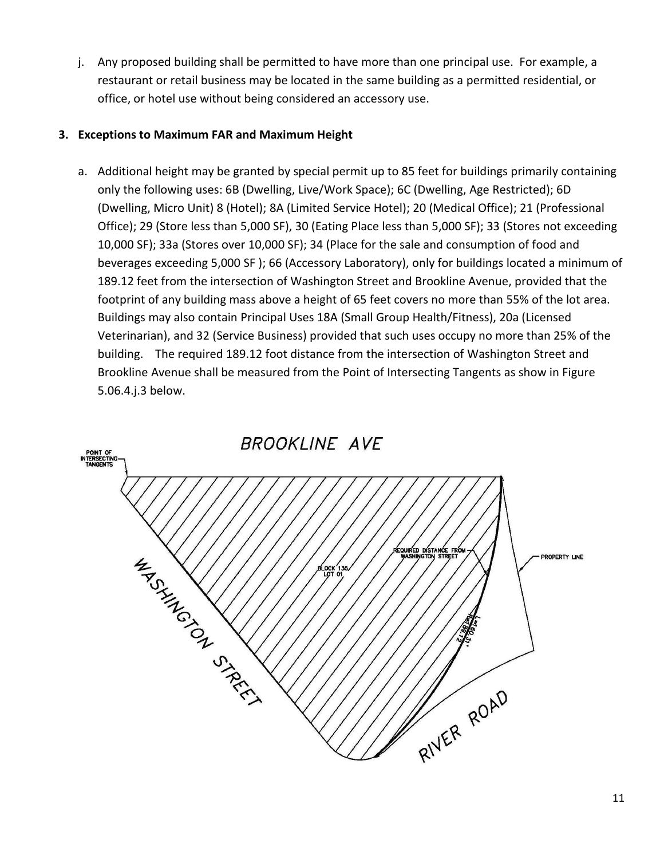j. Any proposed building shall be permitted to have more than one principal use. For example, a restaurant or retail business may be located in the same building as a permitted residential, or office, or hotel use without being considered an accessory use.

### **3. Exceptions to Maximum FAR and Maximum Height**

a. Additional height may be granted by special permit up to 85 feet for buildings primarily containing only the following uses: 6B (Dwelling, Live/Work Space); 6C (Dwelling, Age Restricted); 6D (Dwelling, Micro Unit) 8 (Hotel); 8A (Limited Service Hotel); 20 (Medical Office); 21 (Professional Office); 29 (Store less than 5,000 SF), 30 (Eating Place less than 5,000 SF); 33 (Stores not exceeding 10,000 SF); 33a (Stores over 10,000 SF); 34 (Place for the sale and consumption of food and beverages exceeding 5,000 SF ); 66 (Accessory Laboratory), only for buildings located a minimum of 189.12 feet from the intersection of Washington Street and Brookline Avenue, provided that the footprint of any building mass above a height of 65 feet covers no more than 55% of the lot area. Buildings may also contain Principal Uses 18A (Small Group Health/Fitness), 20a (Licensed Veterinarian), and 32 (Service Business) provided that such uses occupy no more than 25% of the building. The required 189.12 foot distance from the intersection of Washington Street and Brookline Avenue shall be measured from the Point of Intersecting Tangents as show in Figure 5.06.4.j.3 below.

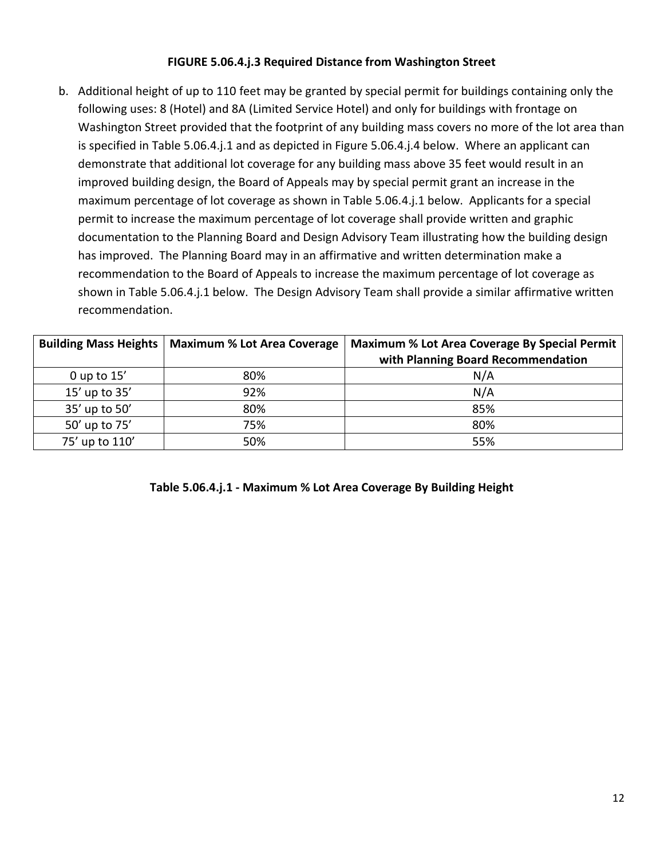### **FIGURE 5.06.4.j.3 Required Distance from Washington Street**

b. Additional height of up to 110 feet may be granted by special permit for buildings containing only the following uses: 8 (Hotel) and 8A (Limited Service Hotel) and only for buildings with frontage on Washington Street provided that the footprint of any building mass covers no more of the lot area than is specified in Table 5.06.4.j.1 and as depicted in Figure 5.06.4.j.4 below. Where an applicant can demonstrate that additional lot coverage for any building mass above 35 feet would result in an improved building design, the Board of Appeals may by special permit grant an increase in the maximum percentage of lot coverage as shown in Table 5.06.4.j.1 below. Applicants for a special permit to increase the maximum percentage of lot coverage shall provide written and graphic documentation to the Planning Board and Design Advisory Team illustrating how the building design has improved. The Planning Board may in an affirmative and written determination make a recommendation to the Board of Appeals to increase the maximum percentage of lot coverage as shown in Table 5.06.4.j.1 below. The Design Advisory Team shall provide a similar affirmative written recommendation.

| <b>Building Mass Heights</b> | <b>Maximum % Lot Area Coverage</b> | <b>Maximum % Lot Area Coverage By Special Permit</b> |
|------------------------------|------------------------------------|------------------------------------------------------|
|                              |                                    | with Planning Board Recommendation                   |
| $0$ up to $15'$              | 80%                                | N/A                                                  |
| 15' up to 35'                | 92%                                | N/A                                                  |
| 35' up to 50'                | 80%                                | 85%                                                  |
| 50' up to 75'                | 75%                                | 80%                                                  |
| 75' up to 110'               | 50%                                | 55%                                                  |

## **Table 5.06.4.j.1 - Maximum % Lot Area Coverage By Building Height**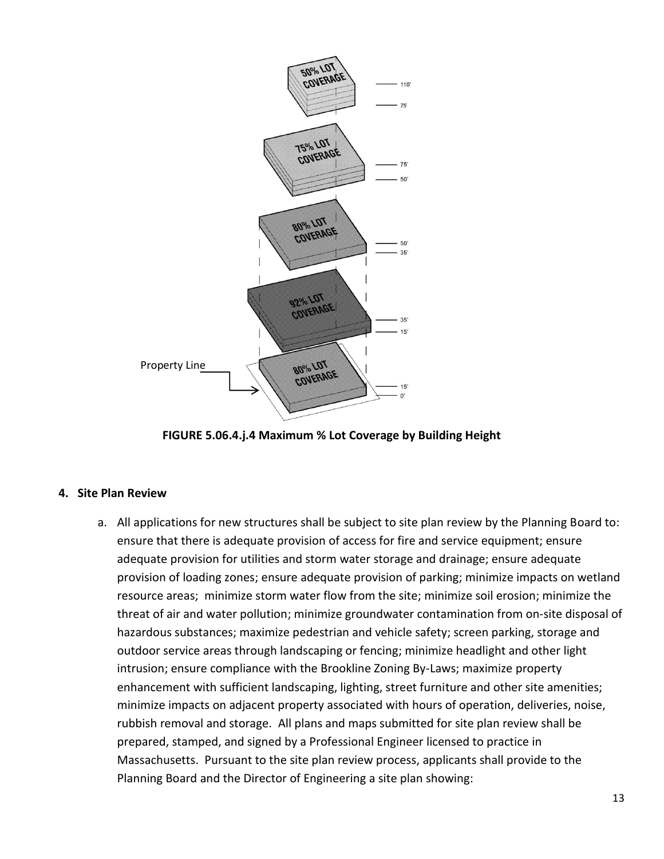

**FIGURE 5.06.4.j.4 Maximum % Lot Coverage by Building Height**

#### **4. Site Plan Review**

a. All applications for new structures shall be subject to site plan review by the Planning Board to: ensure that there is adequate provision of access for fire and service equipment; ensure adequate provision for utilities and storm water storage and drainage; ensure adequate provision of loading zones; ensure adequate provision of parking; minimize impacts on wetland resource areas; minimize storm water flow from the site; minimize soil erosion; minimize the threat of air and water pollution; minimize groundwater contamination from on‐site disposal of hazardous substances; maximize pedestrian and vehicle safety; screen parking, storage and outdoor service areas through landscaping or fencing; minimize headlight and other light intrusion; ensure compliance with the Brookline Zoning By‐Laws; maximize property enhancement with sufficient landscaping, lighting, street furniture and other site amenities; minimize impacts on adjacent property associated with hours of operation, deliveries, noise, rubbish removal and storage. All plans and maps submitted for site plan review shall be prepared, stamped, and signed by a Professional Engineer licensed to practice in Massachusetts. Pursuant to the site plan review process, applicants shall provide to the Planning Board and the Director of Engineering a site plan showing: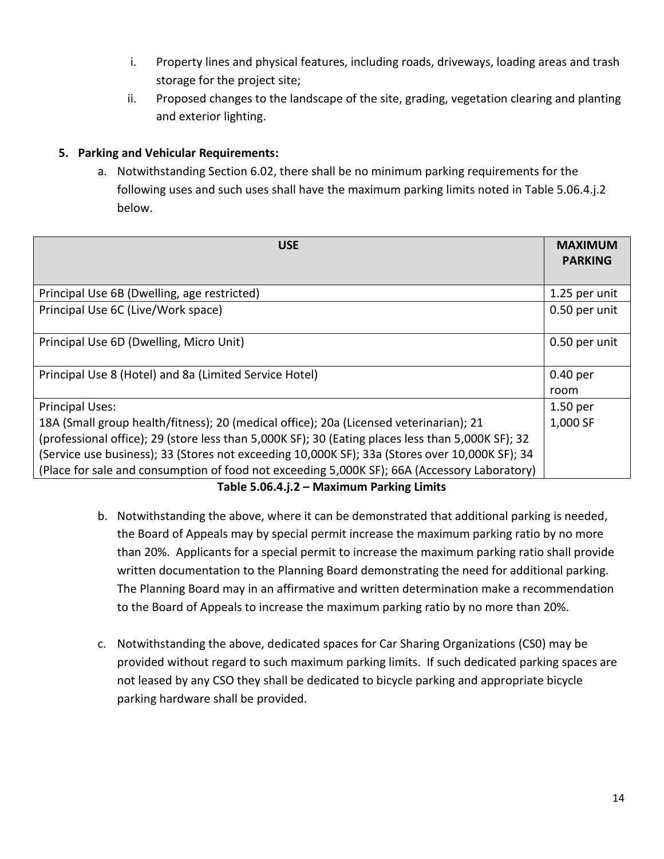- i. Property lines and physical features, including roads, driveways, loading areas and trash storage for the project site;
- ii. Proposed changes to the landscape of the site, grading, vegetation clearing and planting and exterior lighting.

# **5. Parking and Vehicular Requirements:**

a. Notwithstanding Section 6.02, there shall be no minimum parking requirements for the following uses and such uses shall have the maximum parking limits noted in Table 5.06.4.j.2 below.

| <b>USE</b>                                                                                        | <b>MAXIMUM</b><br><b>PARKING</b> |
|---------------------------------------------------------------------------------------------------|----------------------------------|
| Principal Use 6B (Dwelling, age restricted)                                                       | 1.25 per unit                    |
| Principal Use 6C (Live/Work space)                                                                | 0.50 per unit                    |
| Principal Use 6D (Dwelling, Micro Unit)                                                           | 0.50 per unit                    |
| Principal Use 8 (Hotel) and 8a (Limited Service Hotel)                                            | 0.40 per                         |
|                                                                                                   | room                             |
| <b>Principal Uses:</b>                                                                            | 1.50 per                         |
| 18A (Small group health/fitness); 20 (medical office); 20a (Licensed veterinarian); 21            | 1,000 SF                         |
| (professional office); 29 (store less than 5,000K SF); 30 (Eating places less than 5,000K SF); 32 |                                  |
| (Service use business); 33 (Stores not exceeding 10,000K SF); 33a (Stores over 10,000K SF); 34    |                                  |
| (Place for sale and consumption of food not exceeding 5,000K SF); 66A (Accessory Laboratory)      |                                  |

**Table 5.06.4.j.2 – Maximum Parking Limits**

- b. Notwithstanding the above, where it can be demonstrated that additional parking is needed, the Board of Appeals may by special permit increase the maximum parking ratio by no more than 20%. Applicants for a special permit to increase the maximum parking ratio shall provide written documentation to the Planning Board demonstrating the need for additional parking. The Planning Board may in an affirmative and written determination make a recommendation to the Board of Appeals to increase the maximum parking ratio by no more than 20%.
- c. Notwithstanding the above, dedicated spaces for Car Sharing Organizations (CS0) may be provided without regard to such maximum parking limits. If such dedicated parking spaces are not leased by any CSO they shall be dedicated to bicycle parking and appropriate bicycle parking hardware shall be provided.